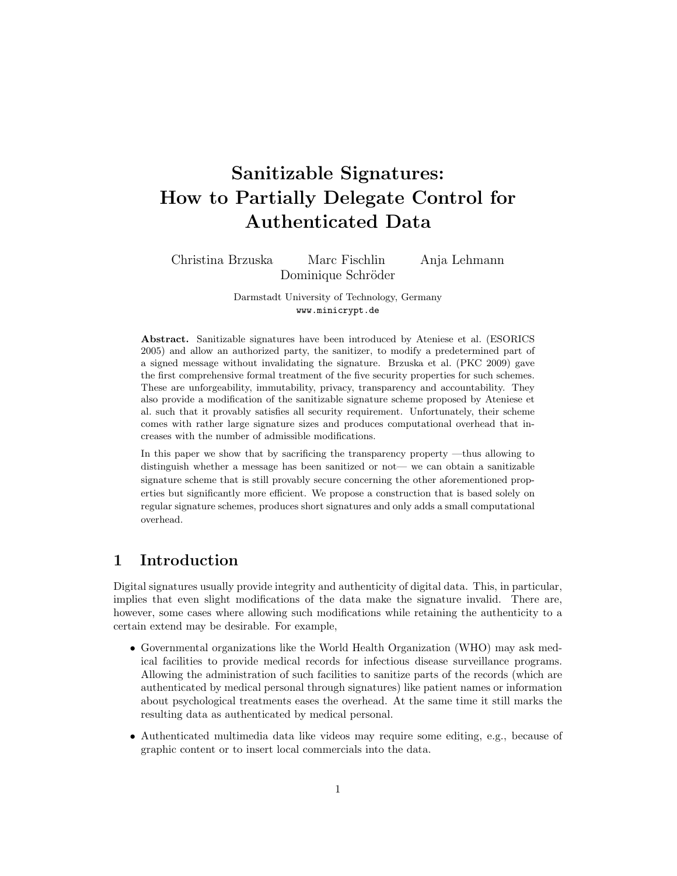# Sanitizable Signatures: How to Partially Delegate Control for Authenticated Data

Christina Brzuska Marc Fischlin Anja Lehmann Dominique Schröder

> Darmstadt University of Technology, Germany www.minicrypt.de

Abstract. Sanitizable signatures have been introduced by Ateniese et al. (ESORICS 2005) and allow an authorized party, the sanitizer, to modify a predetermined part of a signed message without invalidating the signature. Brzuska et al. (PKC 2009) gave the first comprehensive formal treatment of the five security properties for such schemes. These are unforgeability, immutability, privacy, transparency and accountability. They also provide a modification of the sanitizable signature scheme proposed by Ateniese et al. such that it provably satisfies all security requirement. Unfortunately, their scheme comes with rather large signature sizes and produces computational overhead that increases with the number of admissible modifications.

In this paper we show that by sacrificing the transparency property —thus allowing to distinguish whether a message has been sanitized or not— we can obtain a sanitizable signature scheme that is still provably secure concerning the other aforementioned properties but significantly more efficient. We propose a construction that is based solely on regular signature schemes, produces short signatures and only adds a small computational overhead.

## 1 Introduction

Digital signatures usually provide integrity and authenticity of digital data. This, in particular, implies that even slight modifications of the data make the signature invalid. There are, however, some cases where allowing such modifications while retaining the authenticity to a certain extend may be desirable. For example,

- Governmental organizations like the World Health Organization (WHO) may ask medical facilities to provide medical records for infectious disease surveillance programs. Allowing the administration of such facilities to sanitize parts of the records (which are authenticated by medical personal through signatures) like patient names or information about psychological treatments eases the overhead. At the same time it still marks the resulting data as authenticated by medical personal.
- Authenticated multimedia data like videos may require some editing, e.g., because of graphic content or to insert local commercials into the data.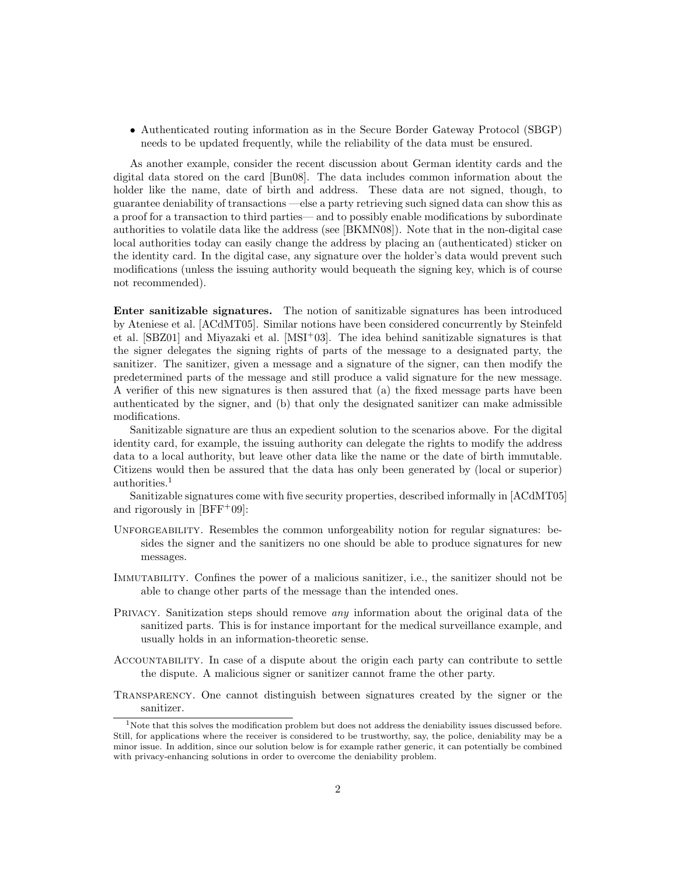• Authenticated routing information as in the Secure Border Gateway Protocol (SBGP) needs to be updated frequently, while the reliability of the data must be ensured.

As another example, consider the recent discussion about German identity cards and the digital data stored on the card [Bun08]. The data includes common information about the holder like the name, date of birth and address. These data are not signed, though, to guarantee deniability of transactions —else a party retrieving such signed data can show this as a proof for a transaction to third parties— and to possibly enable modifications by subordinate authorities to volatile data like the address (see [BKMN08]). Note that in the non-digital case local authorities today can easily change the address by placing an (authenticated) sticker on the identity card. In the digital case, any signature over the holder's data would prevent such modifications (unless the issuing authority would bequeath the signing key, which is of course not recommended).

Enter sanitizable signatures. The notion of sanitizable signatures has been introduced by Ateniese et al. [ACdMT05]. Similar notions have been considered concurrently by Steinfeld et al. [SBZ01] and Miyazaki et al. [MSI+03]. The idea behind sanitizable signatures is that the signer delegates the signing rights of parts of the message to a designated party, the sanitizer. The sanitizer, given a message and a signature of the signer, can then modify the predetermined parts of the message and still produce a valid signature for the new message. A verifier of this new signatures is then assured that (a) the fixed message parts have been authenticated by the signer, and (b) that only the designated sanitizer can make admissible modifications.

Sanitizable signature are thus an expedient solution to the scenarios above. For the digital identity card, for example, the issuing authority can delegate the rights to modify the address data to a local authority, but leave other data like the name or the date of birth immutable. Citizens would then be assured that the data has only been generated by (local or superior) authorities.<sup>1</sup>

Sanitizable signatures come with five security properties, described informally in [ACdMT05] and rigorously in  $[BFF<sup>+</sup>09]$ :

- UNFORGEABILITY. Resembles the common unforgeability notion for regular signatures: besides the signer and the sanitizers no one should be able to produce signatures for new messages.
- Immutability. Confines the power of a malicious sanitizer, i.e., the sanitizer should not be able to change other parts of the message than the intended ones.
- PRIVACY. Sanitization steps should remove *any* information about the original data of the sanitized parts. This is for instance important for the medical surveillance example, and usually holds in an information-theoretic sense.
- Accountability. In case of a dispute about the origin each party can contribute to settle the dispute. A malicious signer or sanitizer cannot frame the other party.
- Transparency. One cannot distinguish between signatures created by the signer or the sanitizer.

<sup>&</sup>lt;sup>1</sup>Note that this solves the modification problem but does not address the deniability issues discussed before. Still, for applications where the receiver is considered to be trustworthy, say, the police, deniability may be a minor issue. In addition, since our solution below is for example rather generic, it can potentially be combined with privacy-enhancing solutions in order to overcome the deniability problem.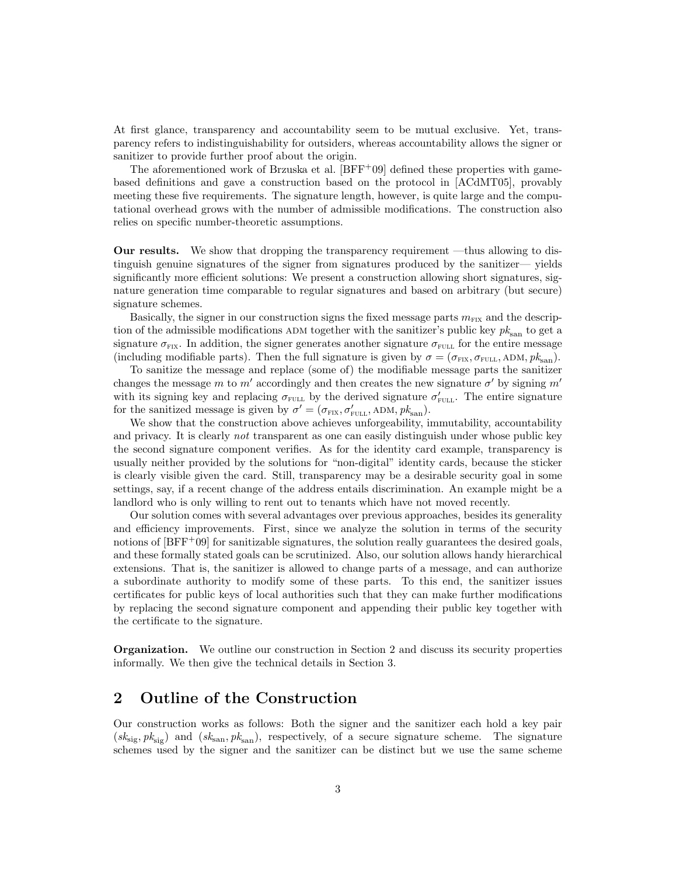At first glance, transparency and accountability seem to be mutual exclusive. Yet, transparency refers to indistinguishability for outsiders, whereas accountability allows the signer or sanitizer to provide further proof about the origin.

The aforementioned work of Brzuska et al.  $[BFF+09]$  defined these properties with gamebased definitions and gave a construction based on the protocol in [ACdMT05], provably meeting these five requirements. The signature length, however, is quite large and the computational overhead grows with the number of admissible modifications. The construction also relies on specific number-theoretic assumptions.

Our results. We show that dropping the transparency requirement —thus allowing to distinguish genuine signatures of the signer from signatures produced by the sanitizer— yields significantly more efficient solutions: We present a construction allowing short signatures, signature generation time comparable to regular signatures and based on arbitrary (but secure) signature schemes.

Basically, the signer in our construction signs the fixed message parts  $m_{\text{FIX}}$  and the description of the admissible modifications ADM together with the sanitizer's public key  $pk_{\text{san}}$  to get a signature  $\sigma_{\text{FIX}}$ . In addition, the signer generates another signature  $\sigma_{\text{FUL}}$  for the entire message (including modifiable parts). Then the full signature is given by  $\sigma = (\sigma_{\text{FIX}}, \sigma_{\text{FULL}})$ , ADM,  $pk_{\text{san}}$ ).

To sanitize the message and replace (some of) the modifiable message parts the sanitizer changes the message m to m' accordingly and then creates the new signature  $\sigma'$  by signing m' with its signing key and replacing  $\sigma_{\text{FULL}}$  by the derived signature  $\sigma'_{\text{FULL}}$ . The entire signature for the sanitized message is given by  $\sigma' = (\sigma_{\text{FIX}}, \sigma'_{\text{FULL}}, \text{ADM}, pk_{\text{san}})$ .

We show that the construction above achieves unforgeability, immutability, accountability and privacy. It is clearly not transparent as one can easily distinguish under whose public key the second signature component verifies. As for the identity card example, transparency is usually neither provided by the solutions for "non-digital" identity cards, because the sticker is clearly visible given the card. Still, transparency may be a desirable security goal in some settings, say, if a recent change of the address entails discrimination. An example might be a landlord who is only willing to rent out to tenants which have not moved recently.

Our solution comes with several advantages over previous approaches, besides its generality and efficiency improvements. First, since we analyze the solution in terms of the security notions of [BFF+09] for sanitizable signatures, the solution really guarantees the desired goals, and these formally stated goals can be scrutinized. Also, our solution allows handy hierarchical extensions. That is, the sanitizer is allowed to change parts of a message, and can authorize a subordinate authority to modify some of these parts. To this end, the sanitizer issues certificates for public keys of local authorities such that they can make further modifications by replacing the second signature component and appending their public key together with the certificate to the signature.

Organization. We outline our construction in Section 2 and discuss its security properties informally. We then give the technical details in Section 3.

# 2 Outline of the Construction

Our construction works as follows: Both the signer and the sanitizer each hold a key pair  $(s_{\rm sig}, p_{k_{\rm sig}})$  and  $(s_{\rm kan}, p_{k_{\rm san}})$ , respectively, of a secure signature scheme. The signature schemes used by the signer and the sanitizer can be distinct but we use the same scheme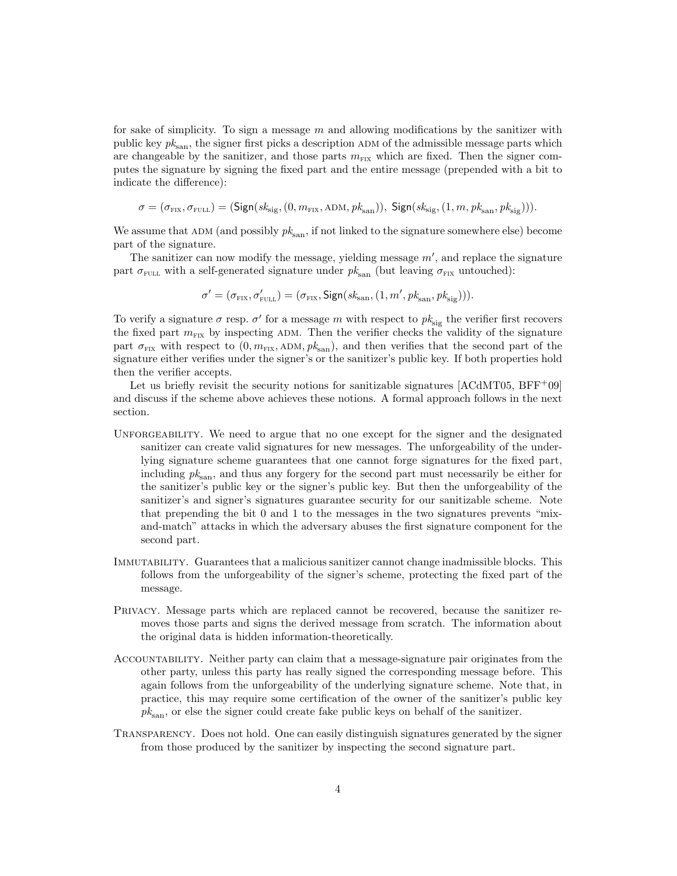for sake of simplicity. To sign a message m and allowing modifications by the sanitizer with public key  $pk_{\text{san}}$ , the signer first picks a description ADM of the admissible message parts which are changeable by the sanitizer, and those parts  $m_{\text{Fix}}$  which are fixed. Then the signer computes the signature by signing the fixed part and the entire message (prepended with a bit to indicate the difference):

$$
\sigma = (\sigma_{\text{fix}}, \sigma_{\text{FULL}}) = (\text{Sign}(sk_{\text{sig}}, (0, m_{\text{FIX}}, \text{ADM}, pk_{\text{san}})), \text{Sign}(sk_{\text{sig}}, (1, m, pk_{\text{san}}, pk_{\text{sig}}))).
$$

We assume that  $ADM$  (and possibly  $pk_{\text{san}}$ , if not linked to the signature somewhere else) become part of the signature.

The sanitizer can now modify the message, yielding message  $m'$ , and replace the signature part  $\sigma_{\text{FUL}}$  with a self-generated signature under  $pk_{\text{san}}$  (but leaving  $\sigma_{\text{FIX}}$  untouched):

$$
\sigma' = (\sigma_{\text{fix}}, \sigma'_{\text{full}}) = (\sigma_{\text{fix}}, \text{Sign}(sk_{\text{san}}, (1, m', \text{pk}_{\text{san}}, \text{pk}_{\text{sig}}))).
$$

To verify a signature  $\sigma$  resp.  $\sigma'$  for a message m with respect to  $pk_{sig}$  the verifier first recovers the fixed part  $m_{\text{Fix}}$  by inspecting ADM. Then the verifier checks the validity of the signature part  $\sigma_{\text{FIX}}$  with respect to  $(0, m_{\text{FIX}}, ADM, pk_{\text{san}})$ , and then verifies that the second part of the signature either verifies under the signer's or the sanitizer's public key. If both properties hold then the verifier accepts.

Let us briefly revisit the security notions for sanitizable signatures  $[ACdMT05, BFF<sup>+</sup>09]$ and discuss if the scheme above achieves these notions. A formal approach follows in the next section.

- UNFORGEABILITY. We need to argue that no one except for the signer and the designated sanitizer can create valid signatures for new messages. The unforgeability of the underlying signature scheme guarantees that one cannot forge signatures for the fixed part, including  $pk_{\text{san}}$ , and thus any forgery for the second part must necessarily be either for the sanitizer's public key or the signer's public key. But then the unforgeability of the sanitizer's and signer's signatures guarantee security for our sanitizable scheme. Note that prepending the bit 0 and 1 to the messages in the two signatures prevents "mixand-match" attacks in which the adversary abuses the first signature component for the second part.
- Immutability. Guarantees that a malicious sanitizer cannot change inadmissible blocks. This follows from the unforgeability of the signer's scheme, protecting the fixed part of the message.
- Privacy. Message parts which are replaced cannot be recovered, because the sanitizer removes those parts and signs the derived message from scratch. The information about the original data is hidden information-theoretically.
- Accountability. Neither party can claim that a message-signature pair originates from the other party, unless this party has really signed the corresponding message before. This again follows from the unforgeability of the underlying signature scheme. Note that, in practice, this may require some certification of the owner of the sanitizer's public key  $pk_{\text{san}}$ , or else the signer could create fake public keys on behalf of the sanitizer.
- Transparency. Does not hold. One can easily distinguish signatures generated by the signer from those produced by the sanitizer by inspecting the second signature part.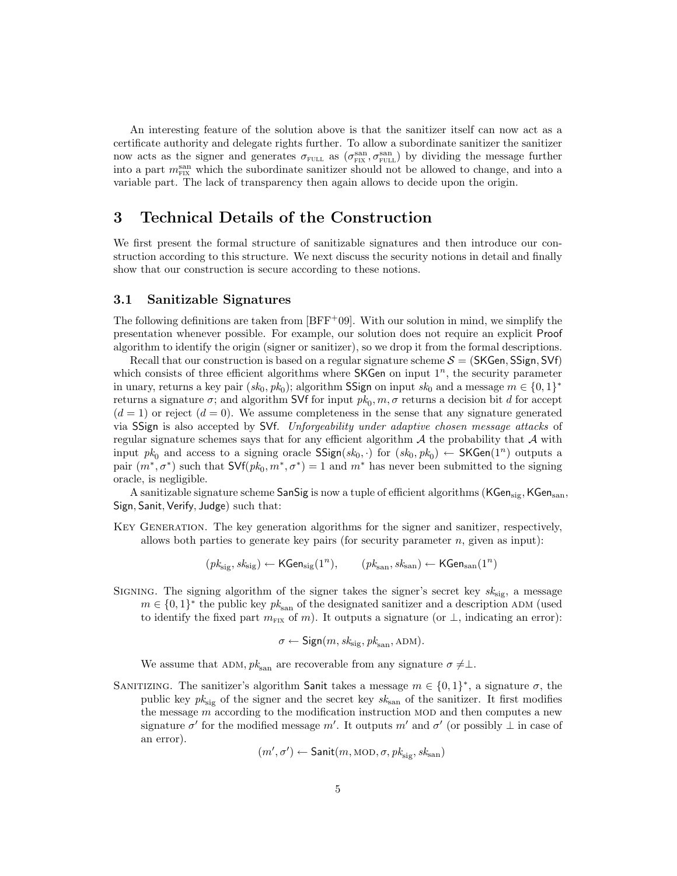An interesting feature of the solution above is that the sanitizer itself can now act as a certificate authority and delegate rights further. To allow a subordinate sanitizer the sanitizer now acts as the signer and generates  $\sigma_{\text{FULL}}$  as  $(\sigma_{\text{FIL}}^{\text{san}}, \sigma_{\text{FILL}}^{\text{san}})$  by dividing the message further into a part  $m_{\text{FIX}}^{\text{san}}$  which the subordinate sanitizer should not be allowed to change, and into a variable part. The lack of transparency then again allows to decide upon the origin.

## 3 Technical Details of the Construction

We first present the formal structure of sanitizable signatures and then introduce our construction according to this structure. We next discuss the security notions in detail and finally show that our construction is secure according to these notions.

#### 3.1 Sanitizable Signatures

The following definitions are taken from  $[BFF+09]$ . With our solution in mind, we simplify the presentation whenever possible. For example, our solution does not require an explicit Proof algorithm to identify the origin (signer or sanitizer), so we drop it from the formal descriptions.

Recall that our construction is based on a regular signature scheme  $S = (SKGen, SSign, SVf)$ which consists of three efficient algorithms where  $SKGen$  on input  $1<sup>n</sup>$ , the security parameter in unary, returns a key pair  $(sk_0, pk_0)$ ; algorithm **SSign** on input  $sk_0$  and a message  $m \in \{0, 1\}^*$ returns a signature  $\sigma$ ; and algorithm SVf for input  $pk_0$ ,  $m, \sigma$  returns a decision bit d for accept  $(d = 1)$  or reject  $(d = 0)$ . We assume completeness in the sense that any signature generated via SSign is also accepted by SVf. Unforgeability under adaptive chosen message attacks of regular signature schemes says that for any efficient algorithm  $A$  the probability that  $A$  with input  $pk_0$  and access to a signing oracle  $SSign(sk_0, \cdot)$  for  $(sk_0, pk_0) \leftarrow SKGen(1^n)$  outputs a pair  $(m^*, \sigma^*)$  such that  $\mathsf{SVf}(pk_0, m^*, \sigma^*) = 1$  and  $m^*$  has never been submitted to the signing oracle, is negligible.

A sanitizable signature scheme SanSig is now a tuple of efficient algorithms ( $KGen<sub>sign</sub>$ ,  $KGen<sub>san</sub>$ , Sign, Sanit, Verify, Judge) such that:

Key Generation. The key generation algorithms for the signer and sanitizer, respectively, allows both parties to generate key pairs (for security parameter  $n$ , given as input):

 $(pk_{\text{sig}}, sk_{\text{sig}}) \leftarrow \textsf{KGen}_{\text{sig}}(1^n), \qquad (pk_{\text{san}}, sk_{\text{san}}) \leftarrow \textsf{KGen}_{\text{san}}(1^n)$ 

SIGNING. The signing algorithm of the signer takes the signer's secret key  $sk_{\text{sig}}$ , a message  $m \in \{0,1\}^*$  the public key  $pk_{\text{san}}$  of the designated sanitizer and a description ADM (used to identify the fixed part  $m_{\text{Fix}}$  of m). It outputs a signature (or  $\perp$ , indicating an error):

$$
\sigma \leftarrow \mathsf{Sign}(m, \mathit{sk}_{\text{sig}}, \mathit{pk}_{\text{san}}, \mathrm{ADM}).
$$

We assume that ADM,  $pk_{\text{san}}$  are recoverable from any signature  $\sigma \neq \perp$ .

SANITIZING. The sanitizer's algorithm Sanit takes a message  $m \in \{0,1\}^*$ , a signature  $\sigma$ , the public key  $pk_{sig}$  of the signer and the secret key  $sk_{san}$  of the sanitizer. It first modifies the message  $m$  according to the modification instruction MOD and then computes a new signature  $\sigma'$  for the modified message m'. It outputs m' and  $\sigma'$  (or possibly  $\perp$  in case of an error).

$$
(m', \sigma') \leftarrow \mathsf{Sanit}(m, \mathrm{MOD}, \sigma, \mathit{pk}_{\mathrm{sig}}, \mathit{sk}_{\mathrm{san}})
$$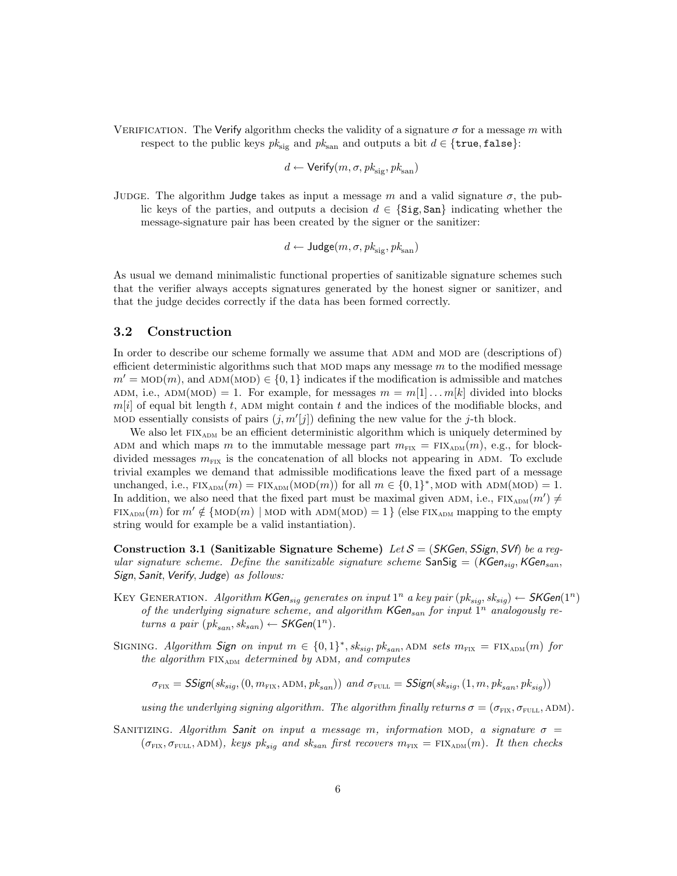VERIFICATION. The Verify algorithm checks the validity of a signature  $\sigma$  for a message m with respect to the public keys  $pk_{\text{sig}}$  and  $pk_{\text{san}}$  and outputs a bit  $d \in \{\text{true}, \text{false}\}$ :

$$
d \leftarrow \mathsf{Verify}(m,\sigma,pk_\text{sig},pk_\text{san})
$$

JUDGE. The algorithm Judge takes as input a message m and a valid signature  $\sigma$ , the public keys of the parties, and outputs a decision  $d \in \{ \text{Sig}, \text{San} \}$  indicating whether the message-signature pair has been created by the signer or the sanitizer:

$$
d \leftarrow \text{Judge}(m, \sigma, \text{pk}_{\text{sig}}, \text{pk}_{\text{san}})
$$

As usual we demand minimalistic functional properties of sanitizable signature schemes such that the verifier always accepts signatures generated by the honest signer or sanitizer, and that the judge decides correctly if the data has been formed correctly.

#### 3.2 Construction

In order to describe our scheme formally we assume that ADM and MOD are (descriptions of) efficient deterministic algorithms such that MOD maps any message  $m$  to the modified message  $m' = \text{MOD}(m)$ , and  $\text{ADM}(\text{MOD}) \in \{0,1\}$  indicates if the modification is admissible and matches ADM, i.e., ADM(MOD) = 1. For example, for messages  $m = m[1] \dots m[k]$  divided into blocks  $m[i]$  of equal bit length t, ADM might contain t and the indices of the modifiable blocks, and MOD essentially consists of pairs  $(j, m'[j])$  defining the new value for the j-th block.

We also let  $FIX<sub>ADM</sub>$  be an efficient deterministic algorithm which is uniquely determined by ADM and which maps m to the immutable message part  $m_{\text{FIX}} = \text{FIX}_{\text{ADM}}(m)$ , e.g., for blockdivided messages  $m_{\text{FIX}}$  is the concatenation of all blocks not appearing in ADM. To exclude trivial examples we demand that admissible modifications leave the fixed part of a message unchanged, i.e.,  $\text{FIX}_{\text{ADM}}(m) = \text{FIX}_{\text{ADM}}(\text{MOD}(m))$  for all  $m \in \{0,1\}^*$ , MOD with ADM(MOD) = 1. In addition, we also need that the fixed part must be maximal given ADM, i.e.,  $\text{FIX}_{\text{ADM}}(m') \neq$ FIX<sub>ADM</sub> $(m)$  for  $m' \notin \{ \text{MOD}(m) \mid \text{MOD with ADM(MOD)} = 1 \}$  (else FIX<sub>ADM</sub> mapping to the empty string would for example be a valid instantiation).

Construction 3.1 (Sanitizable Signature Scheme) Let  $S = (SKGen, SSign, SVf)$  be a regular signature scheme. Define the sanitizable signature scheme  $\text{SanSig} = (KGen_{sia}, KGen_{san},$ Sign, Sanit, Verify, Judge) as follows:

- KEY GENERATION. Algorithm KGen<sub>sig</sub> generates on input  $1^n$  a key pair  $(pk_{sig}, sk_{sig}) \leftarrow \text{SKGen}(1^n)$ of the underlying signature scheme, and algorithm  $\mathsf{KGen}_{san}$  for input  $1^n$  analogously returns a pair  $(pk_{san}, sk_{san}) \leftarrow \mathsf{SKGen}(1^n)$ .
- SIGNING. Algorithm Sign on input  $m \in \{0,1\}^*$ ,  $sk_{sig}$ ,  $pk_{san}$ , ADM sets  $m_{\text{FIX}} = \text{FIX}_{\text{ADM}}(m)$  for the algorithm  $FIX_{ADM}$  determined by ADM, and computes

 $\sigma_{\text{FIX}} = \text{SSign}(sk_{sia}, (0, m_{\text{FIX}}, \text{ADM}, pk_{\text{sgn}}))$  and  $\sigma_{\text{FULL}} = \text{SSign}(sk_{sia}, (1, m, pk_{\text{sgn}}, pk_{\text{sgn}}))$ 

using the underlying signing algorithm. The algorithm finally returns  $\sigma = (\sigma_{\text{F1X}}, \sigma_{\text{F1H1}}, \text{ADM})$ .

SANITIZING. Algorithm Sanit on input a message m, information MOD, a signature  $\sigma$  =  $(\sigma_{\text{FIX}}, \sigma_{\text{FULL}})$ , keys pk<sub>sig</sub> and sk<sub>san</sub> first recovers  $m_{\text{FIX}} = \text{FIX}_{\text{ADM}}(m)$ . It then checks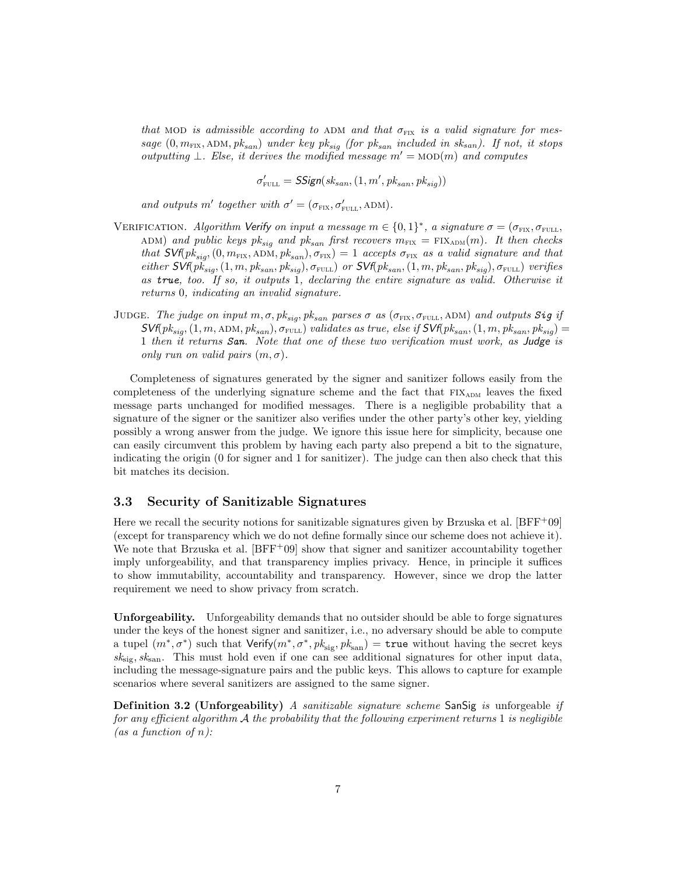that MOD is admissible according to ADM and that  $\sigma_{\text{FK}}$  is a valid signature for message  $(0, m_{\text{FIX}}, \text{ADM}, pk_{san})$  under key pk<sub>sig</sub> (for pk<sub>san</sub> included in sk<sub>san</sub>). If not, it stops outputting  $\bot$ . Else, it derives the modified message  $m' = \text{MOD}(m)$  and computes

 $\sigma'_{\text{FULL}} = \textit{SSign}(sk_{san}, (1, m', pk_{san}, pk_{sig}))$ 

and outputs m' together with  $\sigma' = (\sigma_{\text{FIX}}, \sigma'_{\text{FILL}}, \text{ADM}).$ 

- VERIFICATION. Algorithm Verify on input a message  $m \in \{0,1\}^*$ , a signature  $\sigma = (\sigma_{\text{FIX}}, \sigma_{\text{FULL}})$ ADM) and public keys  $pk_{sig}$  and  $pk_{san}$  first recovers  $m_{\text{FIX}} = \text{FIX}_{\text{ADM}}(m)$ . It then checks that  $\mathsf{SVf}(pk_{sig},(0,m_{\text{FIX}},\text{ADM},pk_{san}),\sigma_{\text{FIX}})=1$  accepts  $\sigma_{\text{FIX}}$  as a valid signature and that either  $\mathsf{SVf}(p\check{k}_{sig},(1,m,pk_{san},pk_{sig}),\sigma_{\text{FULL}})$  or  $\mathsf{SVf}(pk_{san},(1,m,pk_{san},pk_{sig}),\sigma_{\text{FULL}})$  verifies as true, too. If so, it outputs  $\tilde{1}$ , declaring the entire signature as valid. Otherwise it returns 0, indicating an invalid signature.
- JUDGE. The judge on input  $m, \sigma, pk_{sig}, pk_{san}$  parses  $\sigma$  as  $(\sigma_{\text{FIX}}, \sigma_{\text{FULL}}, \text{ADM})$  and outputs Sig if  $\mathcal{SWf}(pk_{sio},(1,m,\mathrm{ADM},pk_{san}), \sigma_{\text{FULL}})$  validates as true, else if  $\mathcal{SWf}(pk_{san},(1,m, pk_{san}, pk_{siq}) =$ 1 then it returns San. Note that one of these two verification must work, as Judge is only run on valid pairs  $(m, \sigma)$ .

Completeness of signatures generated by the signer and sanitizer follows easily from the completeness of the underlying signature scheme and the fact that  $FIX<sub>ADM</sub>$  leaves the fixed message parts unchanged for modified messages. There is a negligible probability that a signature of the signer or the sanitizer also verifies under the other party's other key, yielding possibly a wrong answer from the judge. We ignore this issue here for simplicity, because one can easily circumvent this problem by having each party also prepend a bit to the signature, indicating the origin (0 for signer and 1 for sanitizer). The judge can then also check that this bit matches its decision.

## 3.3 Security of Sanitizable Signatures

Here we recall the security notions for sanitizable signatures given by Brzuska et al.  $[BFF<sup>+</sup>09]$ (except for transparency which we do not define formally since our scheme does not achieve it). We note that Brzuska et al.  $[BFF+09]$  show that signer and sanitizer accountability together imply unforgeability, and that transparency implies privacy. Hence, in principle it suffices to show immutability, accountability and transparency. However, since we drop the latter requirement we need to show privacy from scratch.

Unforgeability. Unforgeability demands that no outsider should be able to forge signatures under the keys of the honest signer and sanitizer, i.e., no adversary should be able to compute a tupel  $(m^*, \sigma^*)$  such that  $Verify(m^*, \sigma^*, pk_{\text{sig}}, pk_{\text{san}}) = \text{true}$  without having the secret keys  $sk_{\text{sig}}$ ,  $sk_{\text{san}}$ . This must hold even if one can see additional signatures for other input data, including the message-signature pairs and the public keys. This allows to capture for example scenarios where several sanitizers are assigned to the same signer.

**Definition 3.2 (Unforgeability)** A sanitizable signature scheme SanSig is unforgeable if for any efficient algorithm  $A$  the probability that the following experiment returns 1 is negligible (as a function of  $n$ ):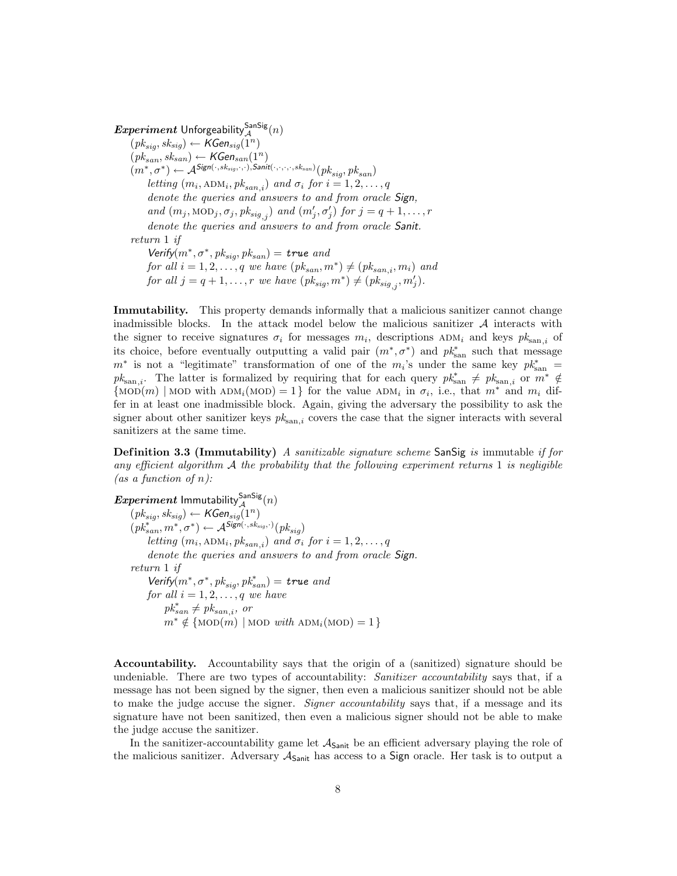$\boldsymbol{Experiment}$  Unforgeability ${}_{\mathcal{A}}^{\mathsf{SanSig}}(n)$  $(pk_{sig}, sk_{sig}) \leftarrow {\mathsf{KGen}}_{sig}(\widetilde{1^n})$  $(pk_{san}, s k_{san}) \leftarrow \mathsf{KGen}_{san}(1^n)$  $(m^*,\sigma^*) \leftarrow \mathcal{A}^{\mathsf{Sign}(\cdot,sk_{sig},\cdot,\cdot),\mathsf{Sanit}(\cdot,\cdot,\cdot,\cdot,sk_{san})}(pk_{sig},pk_{san})$ letting  $(m_i, \text{ADM}_i, pk_{san,i})$  and  $\sigma_i$  for  $i = 1, 2, ..., q$ denote the queries and answers to and from oracle Sign, and  $(m_j, \text{MOD}_j, \sigma_j, \text{pk}_{sig,j})$  and  $(m'_j, \sigma'_j)$  for  $j = q + 1, \ldots, r$ denote the queries and answers to and from oracle Sanit. return 1 if Verify $(m^*, \sigma^*, pk_{sig}, pk_{san}) =$  true and for all  $i = 1, 2, \ldots, q$  we have  $(pk_{san}, m^*) \neq (pk_{san,i}, m_i)$  and for all  $j = q + 1, \ldots, r$  we have  $(pk_{sig}, m^*) \neq (pk_{sig,j}, m'_j)$ .

Immutability. This property demands informally that a malicious sanitizer cannot change inadmissible blocks. In the attack model below the malicious sanitizer  $A$  interacts with the signer to receive signatures  $\sigma_i$  for messages  $m_i$ , descriptions  $ADM_i$  and keys  $pk_{\text{san},i}$  of its choice, before eventually outputting a valid pair  $(m^*, \sigma^*)$  and  $pk^*_{\text{san}}$  such that message  $m^*$  is not a "legitimate" transformation of one of the  $m_i$ 's under the same key  $pk^*_{\text{san}} =$  $pk_{\text{san},i}$ . The latter is formalized by requiring that for each query  $pk_{\text{san},i}^* \neq pk_{\text{san},i}$  or  $m^* \notin$  ${\rm [MOD(m) \mid MOD with ADM_i(MOD) = 1}$  for the value  $ADM_i$  in  $\sigma_i$ , i.e., that  $m^*$  and  $m_i$  differ in at least one inadmissible block. Again, giving the adversary the possibility to ask the signer about other sanitizer keys  $pk_{\text{san},i}$  covers the case that the signer interacts with several sanitizers at the same time.

**Definition 3.3 (Immutability)** A sanitizable signature scheme SanSig is immutable if for any efficient algorithm  $A$  the probability that the following experiment returns 1 is negligible (as a function of  $n$ ):

Experiment Immutability ${}_{\mathcal{A}}^{\mathsf{SanSig}}(n)$  $(\mathit{pk}_{\mathit{sig}},\mathit{sk}_{\mathit{sig}}) \leftarrow \mathsf{KGen}_{\mathit{sig}}(1^n)$  $(\textit{pk}_{san}^*, \textit{m}^*, \sigma^*) \leftarrow \mathcal{A}^{\textit{Sign}(\cdot, \textit{sk}_{sig}, \cdot)}(\textit{pk}_{sig})$ letting  $(m_i, \text{ADM}_i, pk_{san,i})$  and  $\sigma_i$  for  $i = 1, 2, ..., q$ denote the queries and answers to and from oracle Sign. return 1 if  $Verify(m^*, \sigma^*, pk_{sig}, pk_{san}^*) = true$  and for all  $i = 1, 2, \ldots, q$  we have  $pk_{san}^* \neq pk_{san,i}$ , or  $m^* \notin \{ \text{MOD}(m) \mid \text{MOD with ADM}_i(\text{MOD}) = 1 \}$ 

Accountability. Accountability says that the origin of a (sanitized) signature should be undeniable. There are two types of accountability: *Sanitizer accountability* says that, if a message has not been signed by the signer, then even a malicious sanitizer should not be able to make the judge accuse the signer. Signer accountability says that, if a message and its signature have not been sanitized, then even a malicious signer should not be able to make the judge accuse the sanitizer.

In the sanitizer-accountability game let  $A_{Sanit}$  be an efficient adversary playing the role of the malicious sanitizer. Adversary  $A_{\text{Sanit}}$  has access to a Sign oracle. Her task is to output a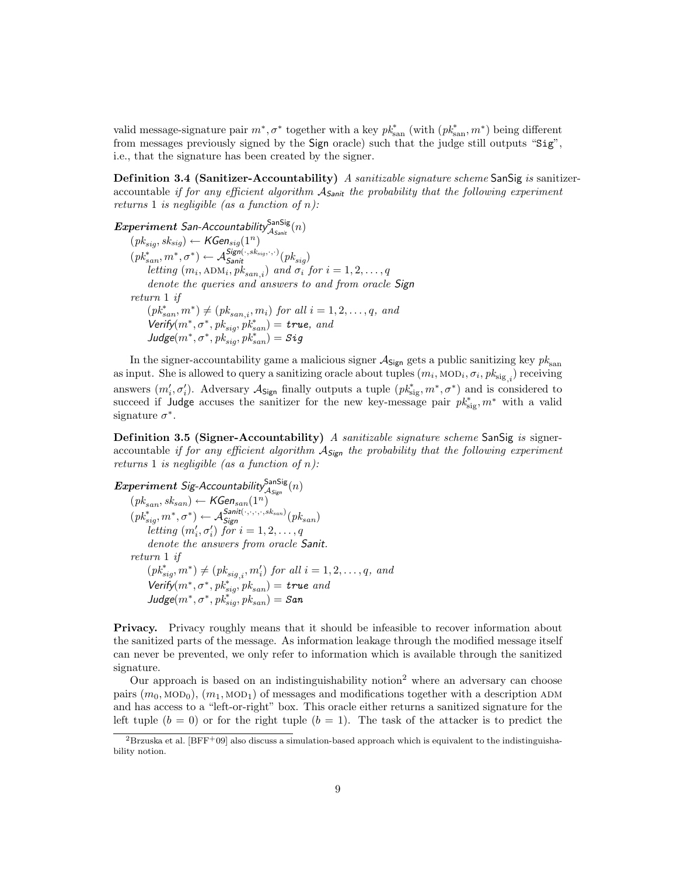valid message-signature pair  $m^*$ ,  $\sigma^*$  together with a key  $pk^*_{\text{san}}$  (with  $(pk^*_{\text{san}}, m^*)$ ) being different from messages previously signed by the Sign oracle) such that the judge still outputs "Sig", i.e., that the signature has been created by the signer.

**Definition 3.4 (Sanitizer-Accountability)** A sanitizable signature scheme SanSig is sanitizeraccountable if for any efficient algorithm  $A_{Sanit}$  the probability that the following experiment returns 1 is negligible (as a function of  $n$ ):

 $Experiment$  San-Accountability $\frac{Sansis}{A_{Sanit}}(n)$  $(pk_{sig}, sk_{sig}) \leftarrow {\textit{KGen}}_{sig}(1^n)$  $(\textit{pk}^*_{san}, m^*, \sigma^*) \leftarrow \mathcal{A}^{\mathit{Sign}(\cdot, sk_{sig}, \cdot, \cdot)}_{\mathit{Santi}}(pk_{sig})$ letting  $(m_i, \text{ADM}_i, pk_{san,i})$  and  $\sigma_i$  for  $i = 1, 2, ..., q$ denote the queries and answers to and from oracle Sign return 1 if  $(pk_{san}^*, m^*) \neq (pk_{san,i}, m_i)$  for all  $i = 1, 2, ..., q$ , and  $Verify(m^*, \sigma^*, pk_{sig}, pk_{san}^*) = true, and$  $\textit{Judge}(m^*,\sigma^*,\textit{pk}_{\textit{sig}}^*,\textit{pk}_{\textit{san}}^*) = \textit{Sig}$ 

In the signer-accountability game a malicious signer  $A_{Sign}$  gets a public sanitizing key  $pk_{san}$ as input. She is allowed to query a sanitizing oracle about tuples  $(m_i, \text{MOD}_i, \sigma_i, pk_{\text{sig}_i})$  receiving answers  $(m'_i, \sigma'_i)$ . Adversary  $\mathcal{A}_{Sign}$  finally outputs a tuple  $(pk_{sig}^*, m^*, \sigma^*)$  and is considered to succeed if Judge accuses the sanitizer for the new key-message pair  $p k_{sig}^*, m^*$  with a valid signature  $\sigma^*$ .

**Definition 3.5 (Signer-Accountability)** A sanitizable signature scheme SanSig is signeraccountable if for any efficient algorithm  $A_{\text{Sign}}$  the probability that the following experiment returns 1 is negligible (as a function of  $n$ ):

 $Experiment$  Sig-Accountability $\frac{Sansis}{\mathcal{A}_{Sign}}(n)$  $(pk_{san}, sk_{san}) \leftarrow {\textit{KGen}}_{san}(1^n)$  $(pk_{sig}^*, m^*, \sigma^*) \leftarrow \mathcal{A}_{Sign}^{Sanit(\cdot, \cdot, \cdot, \cdot, sk_{san})}(pk_{san})$ letting  $(m'_i, \sigma'_i)$  for  $i = 1, 2, \ldots, q$ denote the answers from oracle Sanit. return 1 if  $(pk_{sig}^*, m^*) \neq (pk_{sig,i}, m'_i)$  for all  $i = 1, 2, ..., q$ , and Verify $(m^*, \sigma^*, pk^*_{sig}, pk_{san}) =$  true and  $J$ udge $(m^*, \sigma^*, \textit{pk}_{\textit{sig}}^*, \textit{pk}_{\textit{san}}) =$  San

Privacy. Privacy roughly means that it should be infeasible to recover information about the sanitized parts of the message. As information leakage through the modified message itself can never be prevented, we only refer to information which is available through the sanitized signature.

Our approach is based on an indistinguishability notion<sup>2</sup> where an adversary can choose pairs  $(m_0, \text{MOD}_0), (m_1, \text{MOD}_1)$  of messages and modifications together with a description ADM and has access to a "left-or-right" box. This oracle either returns a sanitized signature for the left tuple  $(b = 0)$  or for the right tuple  $(b = 1)$ . The task of the attacker is to predict the

 ${}^{2}$ Brzuska et al. [BFF<sup>+</sup>09] also discuss a simulation-based approach which is equivalent to the indistinguishability notion.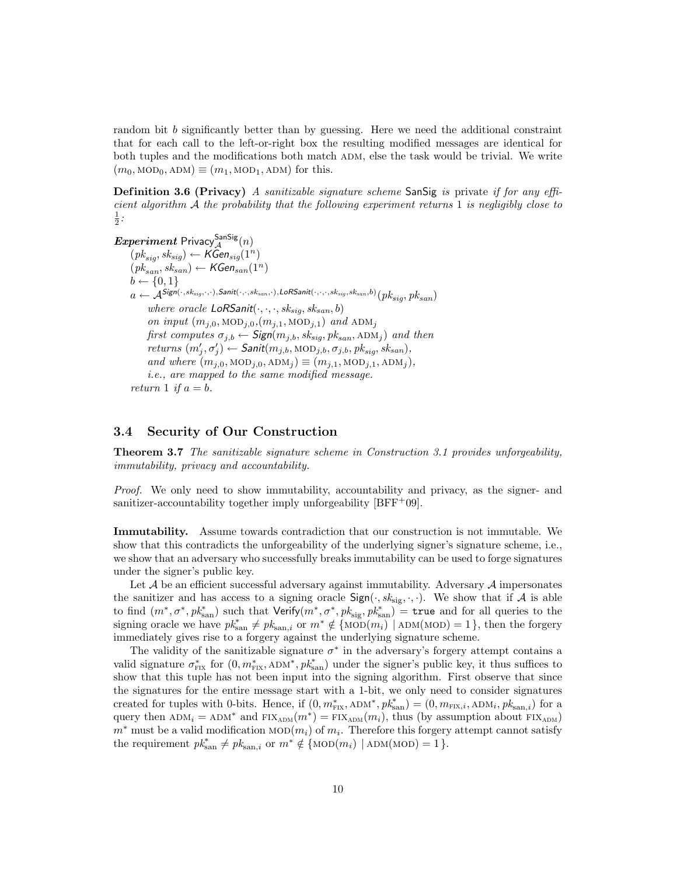random bit b significantly better than by guessing. Here we need the additional constraint that for each call to the left-or-right box the resulting modified messages are identical for both tuples and the modifications both match ADM, else the task would be trivial. We write  $(m_0, \text{MOD}_0, \text{ADM}) \equiv (m_1, \text{MOD}_1, \text{ADM})$  for this.

**Definition 3.6 (Privacy)** A sanitizable signature scheme SanSig is private if for any efficient algorithm  $\mathcal A$  the probability that the following experiment returns 1 is negligibly close to  $\frac{1}{2}$ :

 $Experiment$  Privacy $^{\mathsf{SanSig}}_{\mathcal{A}}(n)$  $(pk_{sig}, sk_{sig}) \leftarrow K\tilde{Gen}_{sig}(1^n)$  $(pk_{san}, sk_{san}) \leftarrow \widehat{\mathcal{KG}}$ en $_{san}(1^n)$  $b \leftarrow \{0, 1\}$  $a \leftarrow \mathcal{A}^{\mathsf{Sign}(\cdot,sk_{sig},\cdot,\cdot),\mathsf{Sanit}(\cdot,\cdot,sk_{san},\cdot),\mathsf{LoR}\mathsf{Sanit}(\cdot,\cdot,\cdot,sk_{sig},sk_{san},b)}(pk_{sig},pk_{san})$ where oracle  $LoRSanit(\cdot, \cdot, \cdot, sk_{sig}, sk_{san}, b)$ on input  $(m_{j,0}, \text{MOD}_{j,0}, (m_{j,1}, \text{MOD}_{j,1})$  and  $\text{ADM}_j$ first computes  $\sigma_{j,b} \leftarrow$  Sign $(m_{j,b}, sk_{sig}, pk_{san}, \text{ADM}_j)$  and then  $returns (m'_j, \sigma'_j) \leftarrow$  Sanit $(m_{j,b}, \text{MOD}_{j,b}, \sigma_{j,b}, \text{pk}_{sig}, \text{sk}_{san}),$ and where  $(m_{j,0}, \text{MOD}_{j,0}, \text{ADM}_{j}) \equiv (m_{j,1}, \text{MOD}_{j,1}, \text{ADM}_{j}),$ i.e., are mapped to the same modified message. return 1 if  $a = b$ .

## 3.4 Security of Our Construction

Theorem 3.7 The sanitizable signature scheme in Construction 3.1 provides unforgeability, immutability, privacy and accountability.

Proof. We only need to show immutability, accountability and privacy, as the signer- and sanitizer-accountability together imply unforgeability  $[BFF^+09]$ .

Immutability. Assume towards contradiction that our construction is not immutable. We show that this contradicts the unforgeability of the underlying signer's signature scheme, i.e., we show that an adversary who successfully breaks immutability can be used to forge signatures under the signer's public key.

Let  $A$  be an efficient successful adversary against immutability. Adversary  $A$  impersonates the sanitizer and has access to a signing oracle  $Sign(\cdot, sk_{sig}, \cdot, \cdot)$ . We show that if A is able to find  $(m^*, \sigma^*, p k_{\text{san}}^*)$  such that  $\text{Verify}(m^*, \sigma^*, p k_{\text{sig}}^*, p k_{\text{san}}^*) = \text{true}$  and for all queries to the signing oracle we have  $pk_{\text{san}}^* \neq pk_{\text{san},i}$  or  $m^* \notin \{\text{MOD}(m_i) \mid \text{ADM}(\text{MOD}) = 1\}$ , then the forgery immediately gives rise to a forgery against the underlying signature scheme.

The validity of the sanitizable signature  $\sigma^*$  in the adversary's forgery attempt contains a valid signature  $\sigma_{\text{FIX}}^*$  for  $(0, m_{\text{FIX}}^*, \text{ADM}^*, pk_{\text{san}}^*)$  under the signer's public key, it thus suffices to show that this tuple has not been input into the signing algorithm. First observe that since the signatures for the entire message start with a 1-bit, we only need to consider signatures created for tuples with 0-bits. Hence, if  $(0, m^*_{\text{FIX}}, \text{ADM}^*, pk^*_{\text{san}}) = (0, m_{\text{FIX},i}, \text{ADM}_i, pk^*_{\text{san},i})$  for a query then  $ADM_i = ADM^*$  and  $FIX_{ADM}(m^*) = FIX_{ADM}(m_i)$ , thus (by assumption about  $FIX_{ADM}$ )  $m^*$  must be a valid modification  $\text{MOD}(m_i)$  of  $m_i$ . Therefore this forgery attempt cannot satisfy the requirement  $pk_{\text{san}}^* \neq pk_{\text{san},i}$  or  $m^* \notin \{\text{MOD}(m_i) \mid \text{ADM}(\text{MOD}) = 1\}.$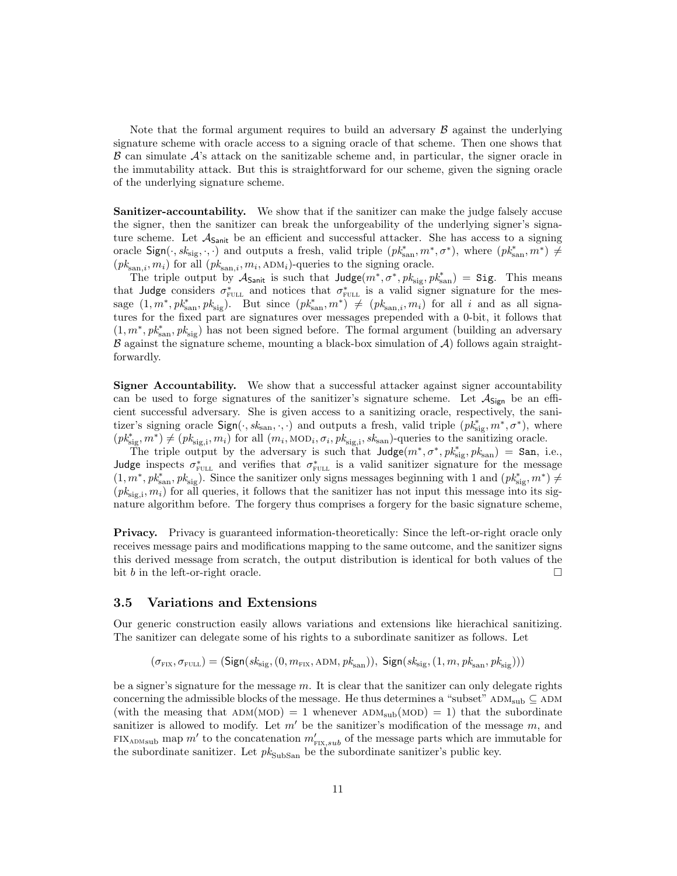Note that the formal argument requires to build an adversary  $\beta$  against the underlying signature scheme with oracle access to a signing oracle of that scheme. Then one shows that  $\beta$  can simulate  $\mathcal{A}$ 's attack on the sanitizable scheme and, in particular, the signer oracle in the immutability attack. But this is straightforward for our scheme, given the signing oracle of the underlying signature scheme.

Sanitizer-accountability. We show that if the sanitizer can make the judge falsely accuse the signer, then the sanitizer can break the unforgeability of the underlying signer's signature scheme. Let  $A_{\text{Sanit}}$  be an efficient and successful attacker. She has access to a signing oracle  $Sign(\cdot, sk_{sig}, \cdot, \cdot)$  and outputs a fresh, valid triple  $(pk_{san}^*, m^*, \sigma^*)$ , where  $(pk_{san}^*, m^*) \neq$  $(pk_{\text{san},i}, m_i)$  for all  $(pk_{\text{san},i}, m_i, \text{ADM}_i)$ -queries to the signing oracle.

The triple output by  $\mathcal{A}_{\mathsf{Sanit}}$  is such that  $\mathsf{Judge}(m^*, \sigma^*, pk_{\text{sig}}, pk_{\text{san}}^*) = \mathsf{Sig}.$  This means that Judge considers  $\sigma_{\text{FULL}}^*$  and notices that  $\sigma_{\text{FULL}}^*$  is a valid signer signature for the message  $(1, m^*, pk^*_{\text{san}}, pk_{\text{sig}})$ . But since  $(pk^*_{\text{san}}, m^*) \neq (pk_{\text{san},i}, m_i)$  for all i and as all signatures for the fixed part are signatures over messages prepended with a 0-bit, it follows that  $(1, m^*, pk^*_{\text{san}}, pk_{\text{sig}})$  has not been signed before. The formal argument (building an adversary  $\beta$  against the signature scheme, mounting a black-box simulation of  $\mathcal{A}$ ) follows again straightforwardly.

Signer Accountability. We show that a successful attacker against signer accountability can be used to forge signatures of the sanitizer's signature scheme. Let  $A_{Sign}$  be an efficient successful adversary. She is given access to a sanitizing oracle, respectively, the sanitizer's signing oracle  $Sign(\cdot, sk_{\text{san}}, \cdot, \cdot)$  and outputs a fresh, valid triple  $(pk_{\text{sig}}^*, m^*, \sigma^*)$ , where  $(pk_{\text{sig}}^*, m^*) \neq (p k_{\text{sig},i}, m_i)$  for all  $(m_i, \text{MOD}_i, \sigma_i, pk_{\text{sig},i}, sk_{\text{san}})$ -queries to the sanitizing oracle.

The triple output by the adversary is such that  $\text{Judge}(m^*, \sigma^*, pk^*_{\text{sig}}, pk_{\text{san}}) = \text{San}, \text{ i.e.,}$ Judge inspects  $\sigma_{\text{FULL}}^*$  and verifies that  $\sigma_{\text{FULL}}^*$  is a valid sanitizer signature for the message  $(1, m^*, pk^*_{\text{san}}, pk_{\text{sig}})$ . Since the sanitizer only signs messages beginning with 1 and  $(pk^*_{\text{sig}}, m^*) \neq$  $(pk_{\text{sig},i}, m_i)$  for all queries, it follows that the sanitizer has not input this message into its signature algorithm before. The forgery thus comprises a forgery for the basic signature scheme,

Privacy. Privacy is guaranteed information-theoretically: Since the left-or-right oracle only receives message pairs and modifications mapping to the same outcome, and the sanitizer signs this derived message from scratch, the output distribution is identical for both values of the bit b in the left-or-right oracle.  $\Box$ 

#### 3.5 Variations and Extensions

Our generic construction easily allows variations and extensions like hierachical sanitizing. The sanitizer can delegate some of his rights to a subordinate sanitizer as follows. Let

$$
(\sigma_{\text{Fix}}, \sigma_{\text{Full}}) = (\text{Sign}(sk_{\text{sig}}, (0, m_{\text{Fix}}, \text{ADM}, \text{pk}_{\text{san}})), \ \text{Sign}(sk_{\text{sig}}, (1, m, \text{pk}_{\text{san}}, \text{pk}_{\text{sig}})))
$$

be a signer's signature for the message  $m$ . It is clear that the sanitizer can only delegate rights concerning the admissible blocks of the message. He thus determines a "subset"  $ADM_{sub} \subseteq ADM$ (with the measing that  $ADM(MOD) = 1$  whenever  $ADM<sub>sub</sub>(MOD) = 1$ ) that the subordinate sanitizer is allowed to modify. Let  $m'$  be the sanitizer's modification of the message m, and FIX<sub>ADMsub</sub> map m' to the concatenation  $m'_{\text{FIX},sub}$  of the message parts which are immutable for the subordinate sanitizer. Let  $pk_{\text{SubSan}}$  be the subordinate sanitizer's public key.